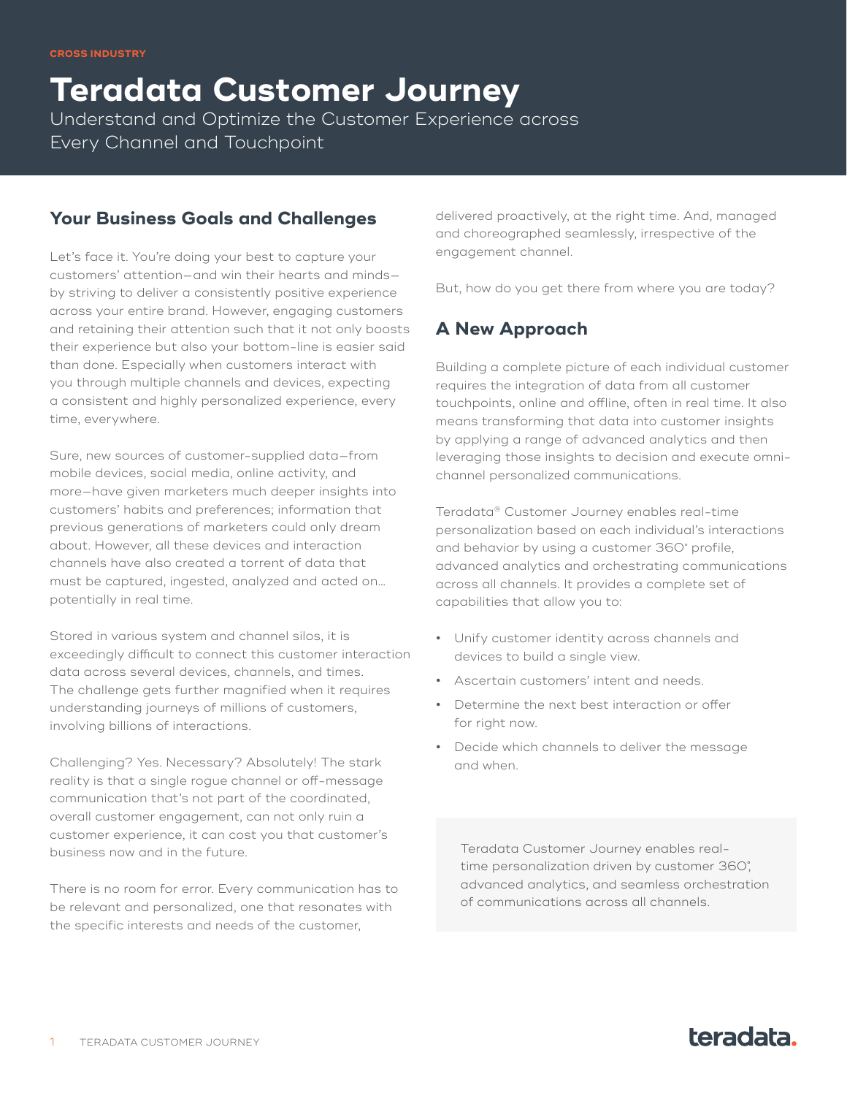**Teradata Customer Journey** Understand and Optimize the Customer Experience across Every Channel and Touchpoint

## **Your Business Goals and Challenges**

Let's face it. You're doing your best to capture your customers' attention—and win their hearts and minds by striving to deliver a consistently positive experience across your entire brand. However, engaging customers and retaining their attention such that it not only boosts their experience but also your bottom-line is easier said than done. Especially when customers interact with you through multiple channels and devices, expecting a consistent and highly personalized experience, every time, everywhere.

Sure, new sources of customer-supplied data—from mobile devices, social media, online activity, and more—have given marketers much deeper insights into customers' habits and preferences; information that previous generations of marketers could only dream about. However, all these devices and interaction channels have also created a torrent of data that must be captured, ingested, analyzed and acted on… potentially in real time.

Stored in various system and channel silos, it is exceedingly difficult to connect this customer interaction data across several devices, channels, and times. The challenge gets further magnified when it requires understanding journeys of millions of customers, involving billions of interactions.

Challenging? Yes. Necessary? Absolutely! The stark reality is that a single rogue channel or off-message communication that's not part of the coordinated, overall customer engagement, can not only ruin a customer experience, it can cost you that customer's business now and in the future.

There is no room for error. Every communication has to be relevant and personalized, one that resonates with the specific interests and needs of the customer,

delivered proactively, at the right time. And, managed and choreographed seamlessly, irrespective of the engagement channel.

But, how do you get there from where you are today?

# **A New Approach**

Building a complete picture of each individual customer requires the integration of data from all customer touchpoints, online and offline, often in real time. It also means transforming that data into customer insights by applying a range of advanced analytics and then leveraging those insights to decision and execute omnichannel personalized communications.

Teradata® Customer Journey enables real-time personalization based on each individual's interactions and behavior by using a customer 360˚ profile, advanced analytics and orchestrating communications across all channels. It provides a complete set of capabilities that allow you to:

- **•** Unify customer identity across channels and devices to build a single view.
- **•** Ascertain customers' intent and needs.
- **•** Determine the next best interaction or offer for right now.
- **•** Decide which channels to deliver the message and when.

Teradata Customer Journey enables realtime personalization driven by customer 360˚, advanced analytics, and seamless orchestration of communications across all channels.

# teradata.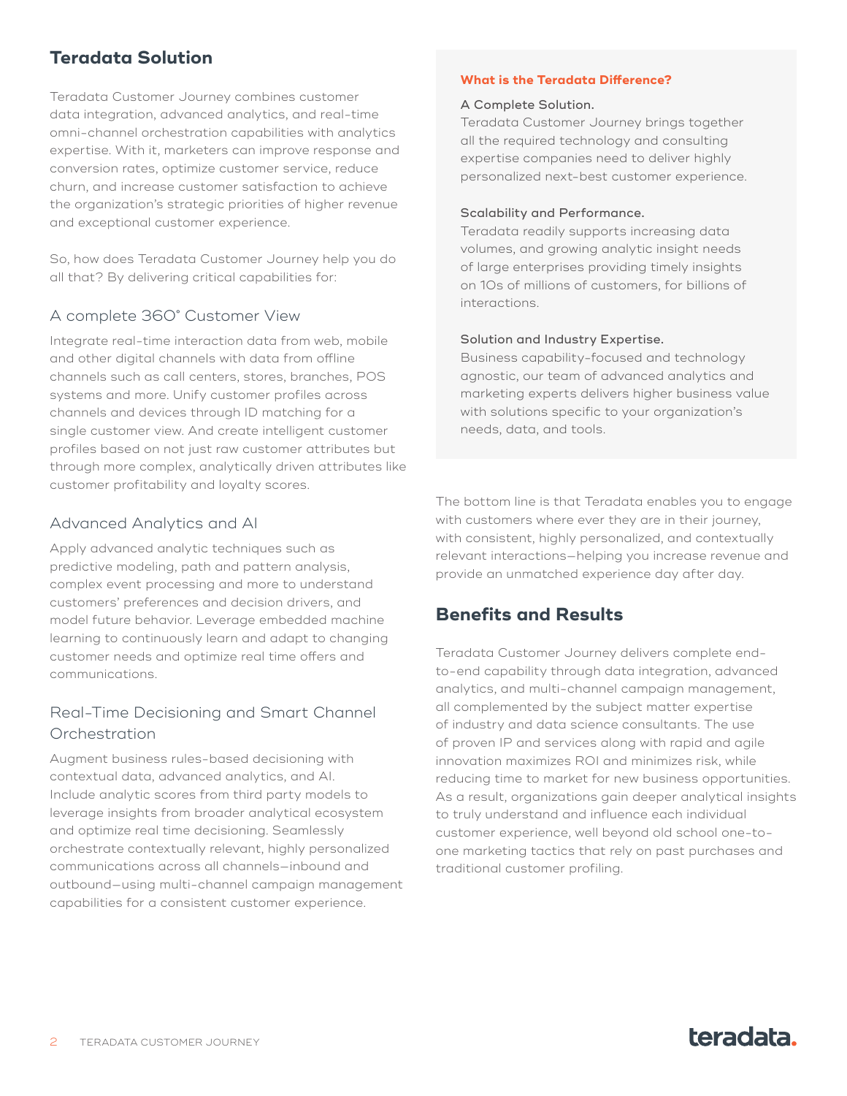# **Teradata Solution**

Teradata Customer Journey combines customer data integration, advanced analytics, and real-time omni-channel orchestration capabilities with analytics expertise. With it, marketers can improve response and conversion rates, optimize customer service, reduce churn, and increase customer satisfaction to achieve the organization's strategic priorities of higher revenue and exceptional customer experience.

So, how does Teradata Customer Journey help you do all that? By delivering critical capabilities for:

### A complete 360˚ Customer View

Integrate real-time interaction data from web, mobile and other digital channels with data from offline channels such as call centers, stores, branches, POS systems and more. Unify customer profiles across channels and devices through ID matching for a single customer view. And create intelligent customer profiles based on not just raw customer attributes but through more complex, analytically driven attributes like customer profitability and loyalty scores.

#### Advanced Analytics and AI

Apply advanced analytic techniques such as predictive modeling, path and pattern analysis, complex event processing and more to understand customers' preferences and decision drivers, and model future behavior. Leverage embedded machine learning to continuously learn and adapt to changing customer needs and optimize real time offers and communications.

### Real-Time Decisioning and Smart Channel Orchestration

Augment business rules-based decisioning with contextual data, advanced analytics, and AI. Include analytic scores from third party models to leverage insights from broader analytical ecosystem and optimize real time decisioning. Seamlessly orchestrate contextually relevant, highly personalized communications across all channels—inbound and outbound—using multi-channel campaign management capabilities for a consistent customer experience.

#### **What is the Teradata Difference?**

#### A Complete Solution.

Teradata Customer Journey brings together all the required technology and consulting expertise companies need to deliver highly personalized next-best customer experience.

#### Scalability and Performance.

Teradata readily supports increasing data volumes, and growing analytic insight needs of large enterprises providing timely insights on 10s of millions of customers, for billions of interactions.

#### Solution and Industry Expertise.

Business capability-focused and technology agnostic, our team of advanced analytics and marketing experts delivers higher business value with solutions specific to your organization's needs, data, and tools.

The bottom line is that Teradata enables you to engage with customers where ever they are in their journey, with consistent, highly personalized, and contextually relevant interactions—helping you increase revenue and provide an unmatched experience day after day.

### **Benefits and Results**

Teradata Customer Journey delivers complete endto-end capability through data integration, advanced analytics, and multi-channel campaign management, all complemented by the subject matter expertise of industry and data science consultants. The use of proven IP and services along with rapid and agile innovation maximizes ROI and minimizes risk, while reducing time to market for new business opportunities. As a result, organizations gain deeper analytical insights to truly understand and influence each individual customer experience, well beyond old school one-toone marketing tactics that rely on past purchases and traditional customer profiling.

# teradata.